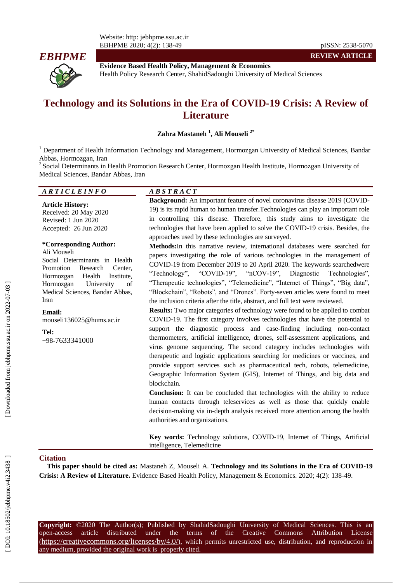

**Evidence Based Health Policy, Management & Economics** Health Policy Research Center, ShahidSadoughi University of Medical Sciences

# **Technology and its Solutions in the Era of COVID -19 Crisis: A Review of Literature**

**Zahra Mastaneh 1 , Ali Mouseli 2 \***

<sup>1</sup> Department of Health Information Technology and Management, Hormozgan University of Medical Sciences, Bandar Abbas, Hormozgan, Iran

<sup>2</sup> Social Determinants in Health Promotion Research Center, Hormozgan Health Institute, Hormozgan University of Medical Sciences, Bandar Abbas, Iran

#### *A R T I C L E I N F O A B S T R A C T*

**Article History:** Received: 20 May 2020 Revised: 1 Jun 2020 Accepted: 26 Jun 2020

#### **\*Corresponding Author:** Ali Mouseli

Social Determinants in Health Promotion Research Center, Hormozgan Health Institute, Hormozgan University of Medical Sciences, Bandar Abbas, Iran

## **Email:**

mouseli136025@hums.ac.ir

**Tel:** +98 -7633341000

**Background:** An important feature of novel coronavirus disease 2019 (COVID - 19) is its rapid human to human transfer.Technologies can play an important role in controlling this disease. Therefore, this study aims to investigate the technologies that have been applied to solve the COVID -19 crisis. Besides, the approaches used by these technologies are surveyed.

**Methods:**In this narrative review, international databases were searched for papers investigating the role of various technologies in the management of COVID -19 from December 2019 to 20 April 2020. The keywords searchedwere "Technology", "COVID-19", "nCOV- $19$ ", Diagnostic Technologies", "Therapeutic technologies", "Telemedicine", "Internet of Things", "Big data", "Blockchain", "Robots", and "Drones". Forty -seven articles were found to meet the inclusion criteria after the title, abstract, and full text were reviewed.

**Results:** Two major categories of technology were found to be applied to combat COVID -19. The first category involves technologies that have the potential to support the diagnostic process and case -finding including non -contact thermometers, artificial intelligence, drones, self-assessment applications, and virus genome sequencing. The second category includes technologies with therapeutic and logistic applications searching for medicines or vaccines, and provide support services such as pharmaceutical tech, robots, telemedicine, Geographic Information System (GIS), Internet of Things, and big data and blockchain.

**Conclusion:** It can be concluded that technologies with the ability to reduce human contacts through teleservices as well as those that quickly enable decision -making via in -depth analysis received more attention among the health authorities and organizations.

**Key words:** Technology solutions, COVID -19, Internet of Things, Artificial intelligence, Telemedicine

#### **Citation**

**This paper should be cited as:** Mastaneh Z, Mouseli A. **Technology and its Solutions in the Era of COVID -19**  Crisis: A Review of Literature. Evidence Based Health Policy, Management & Economics. 2020; 4(2): 138-49.

**Copyright:** ©2020 The Author(s); Published by ShahidSadoughi University of Medical Sciences. This is an open-access -access article distributed under the terms of the Creative Commons Attribution License (https://creativecommons.org/licenses/by/4.0/), which permits unrestricted use, distribution, and reproduction in any medium, provided the original work is properly cited.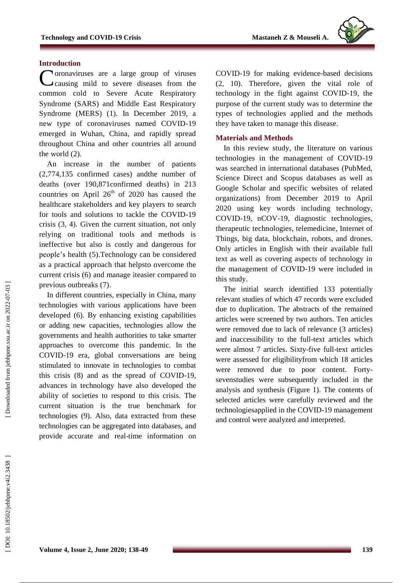#### **Introduction**

Coronaviruses are a large group of viruses<br>Causing mild to severe diseases from the causing mild to severe diseases from the common cold to [Severe Acute Respiratory](https://www.who.int/csr/sars/en/)  [Syndrome \(SARS\)](https://www.who.int/csr/sars/en/) and [Middle East Respiratory](https://www.who.int/emergencies/mers-cov/en/)  [Syndrome \(MERS\)](https://www.who.int/emergencies/mers-cov/en/) (1) . In December 2019, a new type of coronaviruses named COVID -19 emerged in Wuhan, China, and rapidly spread throughout China and other countries all around the world (2).

An increase in the number of patients (2,774 , 135 confirmed cases) andthe number of deaths (over 190 ,87 1confirmed deaths) in 213 countries on April  $26<sup>th</sup>$  of 2020 has caused the healthcare stakeholders and key players to search for tools and solutions to tackle the COVID -19 crisis (3, 4). Given the current situation, not only relying on traditional tools and methods is ineffective but also is costly and dangerous for people's health ( 5).Technology can be considered as a practical approach that help sto overcome the current crisis (6) and manage iteasier compared to previous outbreaks (7).

In different countries , especially in China, many technologies with various applications have been developed (6). By enhancing existing capabilities or adding new capacities, technologies allow the government s and health authorities to take smarter approaches to overcome this pandemic. In the COVID -19 era, global conversations are being stimulated to innovate in technologies to combat this crisis (8) and as the spread of COVID -19, advance s in technolog y have also developed the ability of societies to respond to this crisis. The current situation is the true benchmark for technologies (9). Also, data extracted from these technologies can be aggregated into databases, and provide accurate and real -time information on

COVID -19 for making evidence -based decisions (2, 10) . Therefore, given the vital role of technology in the fight against COVID -19, the purpose of the current study was to determine the types of technologies applied and the methods they have taken to manage this disease.

#### **Materials and Methods**

In this review study, the literature on various technologies in the management of COVID -19 was searched in international databases (PubMed, Science Direct and Scopus databases as well as Google Scholar and specific websites of related organizations) from December 2019 to April 2020 using key words including technology, COVID -19, nCOV -19, diagnostic technologies, therapeutic technologies, telemedicine, Internet of Things, big data, blockchain, robots, and drones. Only article s in English with their available full text as well as covering aspects of technology in the management of COVID -19 were included in this study.

The initial search identified 133 potentially relevant studies of which 47 records were excluded due to duplication. The abstracts of the remained articles were screened by two authors. Ten articles were removed due to lack of relevance (3 articles) and inaccessibility to the full -text articles which were almost 7 articles. Sixty-five full-text articles were assessed for eligibilityfrom which 18 articles were removed due to poor content. Forty sevenstudies were subsequently included in the analysis and synthesis (Figure 1). The contents of selected articles were carefully reviewed and the technologiesapplied in the COVID -19 management and control were analyzed and interpreted .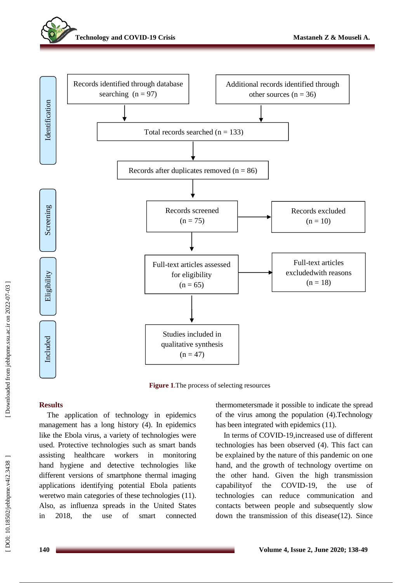



**Figure 1** .The process of selecting resources

## **Results**

The application of technology in epidemics management has a long history (4). In epidemics like the Ebola virus, a variety of technologies were used. Protective technologies such as smart bands assisting healthcare workers in monitoring hand hygiene and detective technologies like different versions of [smartphone thermal imaging](http://www.medgadget.com/2014/01/flir-one-an-iphone-infrared-thermal-imager.html)  [applications](http://www.medgadget.com/2014/01/flir-one-an-iphone-infrared-thermal-imager.html) identifying potential Ebola patients weretwo main categories of these technologies (11). Also, as influenza spreads in the United States in 2018, the use of smart [connected](https://www.mobihealthnews.com/content/kinsas-crowdsourced-smart-thermometer-data-now-rivals-cdc-tracking-flu-trends)  [thermometersm](https://www.mobihealthnews.com/content/kinsas-crowdsourced-smart-thermometer-data-now-rivals-cdc-tracking-flu-trends)ade it possible to indicate the spread of the virus among the population (4). Technology has been integrated with epidemics (11).

In terms of COVID -19,increase d use of different technologies has been observed (4). This fact can be explained by the nature of this pandemic on one hand, and the growth of technology overtime on the other hand. Given the high transmission capability of the COVID-19, the use of technologies can reduce communication and contacts between people and subsequently slow down the transmission of this disease(12) . Since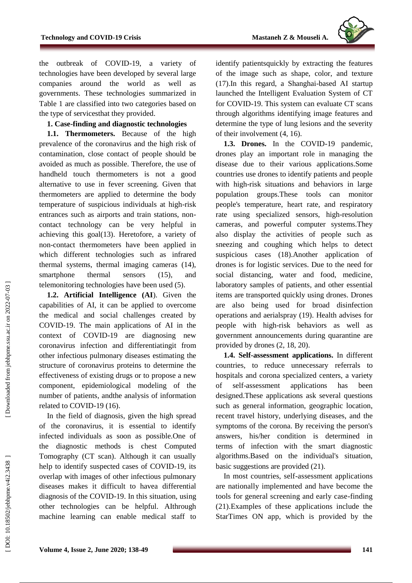

the outbreak of COVID -19, a variety of technologies have been developed by several large companies around the world as well governments. These technologies summarized in Table 1 are classified into two categories based on the type of service sthat they provided .

## **1. Case -finding and diagnostic technologies**

**1.1. Thermometers.** Because of the high prevalence of the coronavirus and the high risk of contamination, close contact of people should be avoided as much as possible. Therefore, the use of handheld touch thermometers is not a good alternative to use in fever screening. Given that thermometers are applied to determine the body temperature of suspicious individuals at high -risk entrances such as airports and train stations, non contact technology can be very helpful in achieving this goal(13). Heretofore, a variety of non -contact thermometers have been applied in which different technologies such as infrared thermal systems, thermal imaging cameras (14), smartphone thermal sensors (15), and telemonitoring technologies have been used (5) .

**1.2. Artificial Intelligence (AI**). Given the capabilities of AI, it can be applied to overcome the medical and social challenges created by COVID -19. The main applications of AI in the context of COVID -19 are diagnosing new coronavirus infection and differentiatingit from other infectious pulmonary diseases estimating the structure of coronavirus proteins to determine the effectiveness of existing drugs or to propose a new component, epidemiological modeling of the number of patients, andthe analysis of information related to COVID -19 (16).

In the field of diagnosis, given the high spread of the coronavirus, it is essential to identify infected individuals as soon as possible.One of the diagnostic methods is chest Computed Tomography (CT scan). Although it can usually help to identify suspected cases of COVID -19, its overlap with images of other infectious pulmonary diseases makes it difficult to havea differential diagnosis of the COVID -19. In this situation, using other technologies can be helpful. AIthrough machine learning can enable medical staff to

identify patientsquickly by extracting the features of the image such as shape, color , and texture (17).In this regard, a Shanghai -based AI startup launched the Intelligent Evaluation System of CT for COVID -19. This system can evaluate CT scans through algorithms identifying image features and determine the type of lung lesions and the severity of their involvement (4, 16).

1.3. Drones. In the COVID-19 pandemic, drones play an important role in managing the disease due to their various applications.Some countries use drones to identify patients and people with high -risk situations and behaviors in large population groups.These tools can monitor people's temperature, heart rate, and respiratory rate using specialized sensors, high -resolution cameras , and powerful computer systems.They also display the activities of people such as sneezing and coughing which helps to detect suspicious cases (18).Another application of drones is for logistic services. Due to the need for social distancing, water and food, medicine, laboratory samples of patients , and other essential items are transported quickly using drones. Drones are also being used for broad disinfection operations and aerialspray (19). Health advises for people with high -risk behaviors as well as government announcements during quarantine are provided by drones (2, 18, 20).

**1.4. Self-assessment applications.** In different countries, to reduce unnecessary referrals to hospitals and corona specialized centers, a variety of self-assessment applications has been designed.These applications ask several questions such as general information, geographic location, recent travel history, underlying diseases, and the symptoms of the corona. By receiving the person's answers, his/her condition is determined in terms of infection with the smart diagnostic algorithms.Based on the individual's situation, basic suggestions are provided (21).

In most countries, self -assessment applications are nationally implemented and have become the tool s for general screening and early case -finding (21).Examples of these applications include the StarTimes ON app, which is provided by the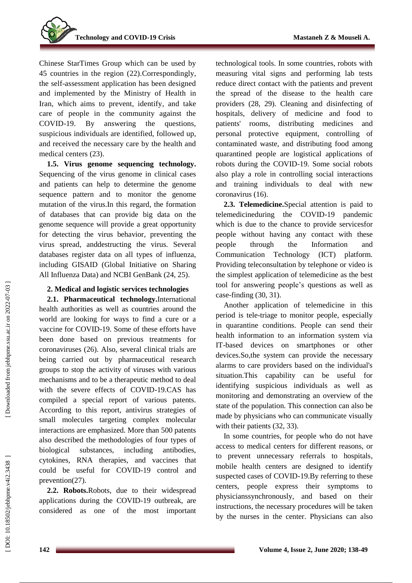

Chinese StarTimes Group which can be used by 45 countries in the region (22).Correspondingly, the self -assessment application has been designed and implemented by the Ministry of Health in Iran, which aims to prevent, identify , and take care of people in the community against the COVID-19. By answering the questions, suspicious individuals are identified, followed up, and receive d the necessary care by the health and medical centers (23).

**1.5. Virus genome sequencing technology.** Sequencing of the virus genome in clinical cases and patients can help to determine the genome sequence pattern and to monitor the genome mutation of the virus.In this regard, the formation of databases that can provide big data on the genome sequence will provide a great opportunity for detecting the virus behavior , preventing the virus spread, anddestructing the virus. Several databases register data on all types of influenza, including GISAID (Global Initiative on Sharing All Influenza Data) and NCBI GenBank (24, 25).

#### **2. Medical and logistic services technologies**

**2.1. Pharmaceutical technology.** International health authorities as well as countries around the world are looking for ways to find a cure or a vaccine for COVID -19. Some of these efforts have been done based on previous treatments for coronaviruses (26). Also, several clinical trials are being carried out by pharmaceutical research groups to stop the activity of viruses with various mechanisms and to be a therapeutic method to deal with the severe effects of COVID -19.CAS has compiled a special report of various patents. According to this report, antivirus strategies of small molecules targeting complex molecular interactions are emphasized. More than 500 patents also described the methodologies of four types of biological substances, including antibodies, cytokines, RNA therapies, and vaccines that could be useful for COVID -19 control and prevention(27).

**2.2. Robots.**Robots, due to their widespread applications during the COVID -19 outbreak , are considered as one of the most important

technological tools. In some countries, robots with measuring vital signs and performing lab tests reduce direct contact with the patients and prevent the spread of the disease to the health care providers (28, 29). Cleaning and disinfecting of hospitals, delivery of medicine and food to patients' rooms, distributing medicines and personal protective equipment, controlling of contaminated waste, and distributing food among quarantined people are logistical applications of robots during the COVID -19. Some social robots also play a role in controlling social interactions and training individuals to deal with new coronavirus (16).

**2.3. Telemedicine.**Special attention is paid to telemedicineduring the COVID -19 pandemic which is due to the chance to provid e servicesfor people without having any contact with these people through the Information and Communication Technology (ICT) platform. Providing teleconsultation by telephone or video is the simplest application of telemedicine as the best tool for answering people's questions as well as case -finding (30, 31).

Another application of telemedicine in this period is tele -triage to monitor people, especially in quarantine conditions. People can send their health information to an information system via IT -based devices on smartphones or other devices.So,the system can provide the necessary alarms to care providers based on the individual's situation.This capability can be useful for identifying suspicious individuals as well as monitoring and demonstrating an overview of the state of the population. This connection can also be made by physicians who can communicate visually with their patients  $(32, 33)$ .

In some countries, for people who do not have access to medical centers for different reasons, or to prevent unnecessary referrals to hospitals , mobile health centers are designed to identify suspected cases of COVID -19.By referring to these centers, people express their symptoms to physicianssynchronously , and based on their instructions, the necessary procedures will be taken by the nurses in the center. Physicians can also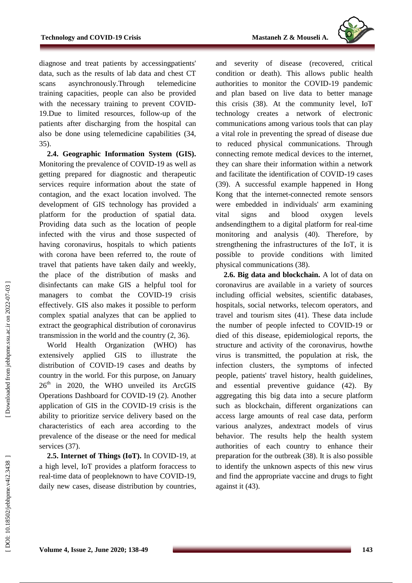

diagnose and treat patients by accessingpatients' data, such as the results of lab data and chest CT scans asynchronously.Through telemedicine training capacities, people can also be provided with the necessary training to prevent COVID - 19.Due to limited resources, follow -up of the patients after discharging from the hospital can also be done using telemedicine capabilities (34, 35).

**2.4. Geographic Information System (GIS).**  Monitoring the prevalence of COVID -19 as well as getting prepared for diagnostic and therapeutic services require information about the state of contagion, and the exact location involved. The development of GIS technology has provided a platform for the production of spatial data. Providing data such as the location of people infected with the virus and those suspected of having coronavirus, hospitals to which patients with corona have been referred to, the route of travel that patients have taken daily and weekly, the place of the distribution of masks and disinfectants can make GIS a helpful tool for managers to combat the COVID -19 crisis effectively. GIS also makes it possible to perform complex spatial analyzes that can be applied to extract the geographical distribution of coronavirus transmission in the world and the country (2, 36).

World Health Organization (WHO) has extensively applied GIS to illustrate the distribution of COVID -19 cases and deaths by country in the world. For this purpose, on January 26<sup>th</sup> in 2020, the WHO unveiled its ArcGIS Operations Dashboard for COVID -19 (2). Another application of GIS in the COVID -19 crisis is the ability to prioritize service delivery based on the characteristics of each area according to the prevalence of the disease or the need for medical services (37).

**2.5. Internet of Things (IoT) .** In COVID -19, at a high level, IoT provides a platform foraccess to real -time data of peopleknown to have COVID -19, daily new cases, disease distribution by countries ,

and severity of disease (recovered, critical condition or death). This allows public health authorities to monitor the COVID -19 pandemic and plan based on live data to better manage this crisis (38). At the community level, IoT technology creates a network of electronic communications among various tools that can play a vital role in preventing the spread of disease due to reduced physical communications. Through connecting remote medical devices to the internet, they can share their information within a network and facilitate the identification of COVID -19 cases (39). A successful example happened in Hong Kong that the internet -connected remote sensors were embedded in individuals' arm examining vital signs and blood oxygen levels andsendingthem to a digital platform for real -time monitoring and analysis (40). Therefore, by strengthening the infrastructures of the IoT, it is possible to provide conditions with limited physical communications (38).

**2.6. Big data and blockchain.** A lot of data on coronavirus are available in a variety of sources including official websites, scientific databases, hospitals, social networks, telecom operators, and travel and tourism sites (41). These data include the number of people infected to COVID -19 or died of this disease, epidemiological reports, the structure and activity of the coronavirus, howthe virus is transmitted, the population at risk, the infection clusters, the symptoms of infected people, patients' travel history, health guidelines, and essential preventive guidance (42). By aggregating this big data into a secure platform such as blockchain, different organizations can access large amounts of real case data, perform various analyzes, andextract models of virus behavior. The results help the health system authorities of each country to enhance their preparation for the outbreak (38). It is also possible to identify the unknown aspects of this new virus and find the appropriate vaccine and drug s to fight against it (43).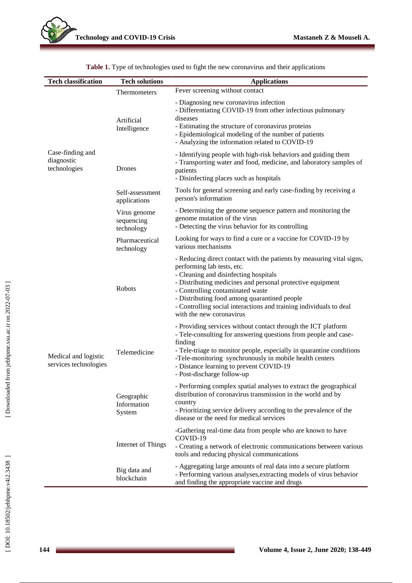| <b>Tech classification</b>                     | <b>Tech solutions</b>                    | <b>Applications</b>                                                                                                                                                                                                                                                                                                                                                                              |
|------------------------------------------------|------------------------------------------|--------------------------------------------------------------------------------------------------------------------------------------------------------------------------------------------------------------------------------------------------------------------------------------------------------------------------------------------------------------------------------------------------|
| Case-finding and<br>diagnostic<br>technologies | Thermometers                             | Fever screening without contact                                                                                                                                                                                                                                                                                                                                                                  |
|                                                | Artificial<br>Intelligence               | - Diagnosing new coronavirus infection<br>- Differentiating COVID-19 from other infectious pulmonary<br>diseases<br>- Estimating the structure of coronavirus proteins<br>- Epidemiological modeling of the number of patients<br>- Analyzing the information related to COVID-19                                                                                                                |
|                                                | Drones                                   | - Identifying people with high-risk behaviors and guiding them<br>- Transporting water and food, medicine, and laboratory samples of<br>patients<br>- Disinfecting places such as hospitals                                                                                                                                                                                                      |
|                                                | Self-assessment<br>applications          | Tools for general screening and early case-finding by receiving a<br>person's information                                                                                                                                                                                                                                                                                                        |
|                                                | Virus genome<br>sequencing<br>technology | - Determining the genome sequence pattern and monitoring the<br>genome mutation of the virus<br>- Detecting the virus behavior for its controlling                                                                                                                                                                                                                                               |
| Medical and logistic<br>services technologies  | Pharmaceutical<br>technology             | Looking for ways to find a cure or a vaccine for COVID-19 by<br>various mechanisms                                                                                                                                                                                                                                                                                                               |
|                                                | Robots                                   | - Reducing direct contact with the patients by measuring vital signs,<br>performing lab tests, etc.<br>- Cleaning and disinfecting hospitals<br>- Distributing medicines and personal protective equipment<br>- Controlling contaminated waste<br>- Distributing food among quarantined people<br>- Controlling social interactions and training individuals to deal<br>with the new coronavirus |
|                                                | Telemedicine                             | - Providing services without contact through the ICT platform<br>- Tele-consulting for answering questions from people and case-<br>finding<br>- Tele-triage to monitor people, especially in quarantine conditions<br>-Tele-monitoring synchronously in mobile health centers<br>- Distance learning to prevent COVID-19<br>- Post-discharge follow-up                                          |
|                                                | Geographic<br>Information<br>System      | - Performing complex spatial analyses to extract the geographical<br>distribution of coronavirus transmission in the world and by<br>country<br>- Prioritizing service delivery according to the prevalence of the<br>disease or the need for medical services                                                                                                                                   |
|                                                | Internet of Things                       | -Gathering real-time data from people who are known to have<br>COVID-19<br>- Creating a network of electronic communications between various<br>tools and reducing physical communications                                                                                                                                                                                                       |
|                                                | Big data and<br>blockchain               | - Aggregating large amounts of real data into a secure platform<br>- Performing various analyses, extracting models of virus behavior<br>and finding the appropriate vaccine and drugs                                                                                                                                                                                                           |

**Table 1.** Type of technologies used to fight the new coronavirus and their applications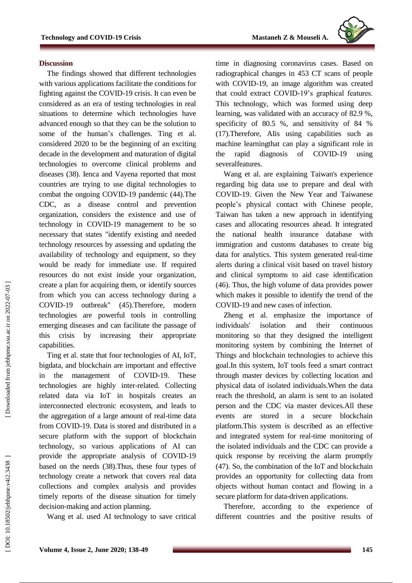

#### **Discussion**

The findings showed that different technologies with various applications facilitate the conditions for fighting against the COVID -19 crisis. It can even be considered as an era of testing technologies in real situation s to determine which technologies have advanced enough so that they can be the solution to some of the human's challenges. Ting et al. considered 2020 to be the beginning of an exciting decade in the development and maturation of digital technologies to overcome clinical problems and diseases (38). Ienca and Vayena reported that most countries are trying to use digital technologies to combat the ongoing COVID -19 pandemic (44).The CDC, as a disease control and prevention organization, considers the existence and use of technology in COVID -19 management to be so necessary that states "identify existing and needed technology resources by assessing and updating the availability of technology and equipment, so they would be ready for immediate use. If required resources do not exist inside your organization, create a plan for acquiring them , or identify sources from which you can access technology during a COVID -19 outbreak" (45) .Therefore, modern technologies are powerful tools in controlling emerging diseases and can facilitate the passage of this crisis by increasing their appropriate capabilities.

Ting et al. state that four technologies of AI, IoT, bigdata, and blockchain are important and effective in the management of COVID -19. These technologies are highly inter -related. Collecting related data via IoT in hospitals creates an interconnected electronic ecosystem, and leads to the aggregation of a large amount of real -time data from COVID -19. Data is stored and distributed in a secure platform with the support of blockchain technology, so various applications of AI can provide the appropriate analysis of COVID -19 based on the needs (38).Thus, these four types of technology create a network that covers real data collections and complex analysis and provides timely reports of the disease situation for timely decision -making and action planning .

Wang et al. used AI technology to save critical

time in diagnosing coronavirus cases. Based on radiographical changes in 453 CT scans of people with COVID -19, an image algorithm was created that could extract COVID -19's graphical features. This technology, which was formed using deep learning, was validated with an accuracy of 82.9 %, specificity of 80.5 %, and sensitivity of 84 % (17).Therefore, AIis using capabilities such as machine learningthat can play a significant role in the rapid diagnosis of COVID using severalfeatures .

Wang et al. are explaining Taiwan's experience regarding big data use to prepare and deal with COVID -19. Given the New Year and Taiwanese people's physical contact with Chinese people, Taiwan has taken a new approach in identifying cases and allocating resources ahead. It integrated the national health insurance database with immigration and customs database s to create big data for analytics. This system generated real -time alerts during a clinical visit based on travel history and clinical symptoms to aid case identification (46). Thus, the high volume of data provides power which makes it possible to identify the trend of the COVID -19 and new cases of infection.

Zheng et al. emphasize the importance of individuals' isolation and their continuous monitoring so that they designed the intelligent monitoring system by combining the Internet of Things and blockchain technologies to achieve this goal.In this system, IoT tools feed a smart contract through master devices by collecting location and physical data of isolated individuals.When the data reach the threshold, an alarm is sent to an isolated person and the CDC via master devices.All these events are stored in a secure blockchain platform.This system is described as an effective and integrated system for real -time monitoring of the isolated individuals and the CDC can provide a quick response by receiving the alarm promptly (47). So, the combination of the IoT and blockchain provides an opportunity for collecting data from objects without human contact and flowing in a secure platform for data -driven applications.

Therefore, according to the experience of different countries and the positive results of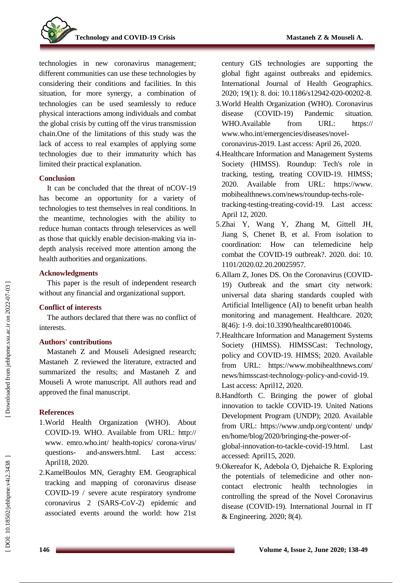

technologies in new coronavirus management; different communities can use these technologies by considering their conditions and facilities. In this situation, for more synergy, a combination of technologies can be used seamlessly to reduce physical interactions among individuals and combat the global crisis by cutting off the virus transmission chain.One of the limitations of this study was the lack of access to real examples of applying some technologies due to their immaturity which has limited their practical explanation.

## **Conclusion**

It can be concluded that the threat of nCOV -19 has become an opportunity for a variety of technologies to test themselves in real conditions. In the meantime, technologies with the ability to reduce human contacts through teleservices as well as those that quickly enable decision-making via indepth analysis received more attention among the health authorities and organizations.

## **Acknowledgments**

This paper is the result of independent research without any financial and organizational support.

## **Conflict of interests**

The authors declared that there was no conflict of interest s .

## **Authors' contributions**

Mastaneh Z and Mouseli Adesigned research; Mastaneh Z reviewed the literature, extracted and summarized the results; and Mastaneh Z and Mouseli A wrote manuscript. All authors read and approved the final manuscript.

## **References**

- 1.World Health Organization (WHO). About COVID -19. WHO. Available from URL: http:// www. emro.who.int/ health-topics/ corona-virus/ questions - and-answers.html. Last access: April18, 2020.
- 2 .KamelBoulos MN, Geraghty EM. Geographical tracking and mapping of coronavirus disease COVID -19 / severe acute respiratory syndrome coronavirus 2 (SARS -CoV -2) epidemic and associated events around the world: how 21st

century GIS technologies are supporting the global fight against outbreaks and epidemics. International Journal of Health Geographics. 2020; 19(1): 8. doi: 10.1186/s12942-020-00202-8.

- 3 .World Health Organization (WHO). Coronavirus disease (COVID-19) Pandemic situation. WHO.Available from URL: https:// [www.who.int/emergencies/diseases/novel](http://www.who.int/emergencies/diseases/novel-coronavirus-2019) [coronavirus](http://www.who.int/emergencies/diseases/novel-coronavirus-2019) -2019 . Last access: April 26, 2020.
- 4 .Healthcare Information and Management Systems Society (HIMSS). Roundup: Tech's role in tracking, testing, treating COVID -19. HIMSS; 2020. Available from URL: https://www. mobihealthnews.com/news/roundup -techs -role tracking -testing -treating -covid -19. Last access: April 12 , 2020.
- 5 .Zhai Y, Wang Y, Zhang M, Gittell JH, Jiang S, Chenet B, et al. From isolation to coordination: How can telemedicine help combat the COVID -19 outbreak? . 2020. doi: [10](https://www.researchgate.net/deref/http%3A%2F%2Fdx.doi.org%2F10.1101%2F2020.02.20.20025957?_sg%5B0%5D=kMvOJgZGuKAZrKcW5fdLQAWUBr6beUm4H1PF1EqhQPrIKzlZpGRXB-Jwgc2K4trAn-JVUP2mEOm3Zq1nXi0OfONxXw.5ycq4MgfocRYK5AxCDji3Z8hYiAvWPnT8dE_6Yau_eSPXTaH7YgVc-JSZQbefGJpDg_hkHquptEA4mUV7sGR9g) . [1101/2020.02.20.20025957](https://www.researchgate.net/deref/http%3A%2F%2Fdx.doi.org%2F10.1101%2F2020.02.20.20025957?_sg%5B0%5D=kMvOJgZGuKAZrKcW5fdLQAWUBr6beUm4H1PF1EqhQPrIKzlZpGRXB-Jwgc2K4trAn-JVUP2mEOm3Zq1nXi0OfONxXw.5ycq4MgfocRYK5AxCDji3Z8hYiAvWPnT8dE_6Yau_eSPXTaH7YgVc-JSZQbefGJpDg_hkHquptEA4mUV7sGR9g) .
- 6 .Allam Z, Jones DS. On the Coronavirus (COVID 19) Outbreak and the smart city network: universal data sharing standards coupled with Artificial Intelligence (AI) to benefit urban health monitoring and management. Healthcare. 2020; 8(46): 1 -9. doi:10.3390/healthcare8010046.
- 7 .Healthcare Information and Management Systems Society (HIMSS). HIMSSCast: Technology, policy and COVID -19. HIMSS; 2020. Available from URL: https://www.mobihealthnews.com/ news/himsscast -technology -policy -and - covid -19. Last access: April12, 2020.
- 8 .Handforth C. Bringing the power of global innovation to tackle COVID -19. United Nations Development Program (UNDP); 2020. Available from URL: https://www.undp.org/content/ undp/ en/home/blog/2020/bringing-the-power-ofglobal-innovation-to-tackle-covid-19.html. Last accessed: April15, 2020.
- 9 .Okereafor K, Adebola O, Djehaiche R. Exploring the potentials of telemedicine and other non contact electronic health technologies in controlling the spread of the Novel Coronavirus disease (COVID-19). International Journal in IT & Engineering. 2020; 8(4).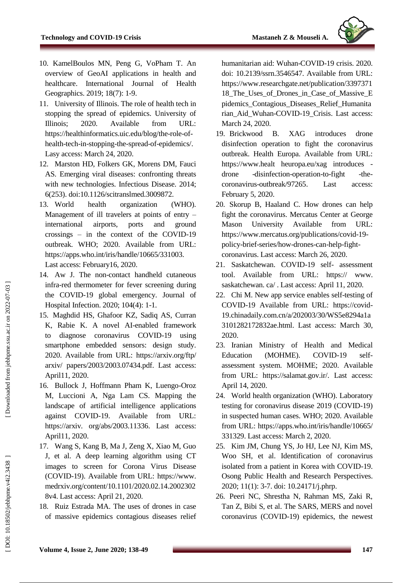

- 10 . KamelBoulos MN, Peng G, VoPham T. An overview of GeoAI applications in health and healthcare. International Journal of Health Geographics. 2019; 18(7): 1 -9.
- 11 . University of Illinois. The role of health tech in stopping the spread of epidemics. University of Illinois; 2020. Available from URL: [https://healthinformatics.uic.edu/blog/the](https://healthinformatics.uic.edu/blog/the-role-of-health-tech-in-stopping-the-spread-of-epidemics/) -role -of[health-tech-in-stopping-the-spread-of-epidemics/.](https://healthinformatics.uic.edu/blog/the-role-of-health-tech-in-stopping-the-spread-of-epidemics/) Lasy access: March 24, 2020.
- 12 . Marston HD, Folkers GK, Morens DM, Fauci AS. Emerging viral diseases: confronting threats with new technologies. Infectious Disease. 2014; 6(253). doi:10.1126/scitranslmed.3009872.
- 13. World health organization (WHO). Management of ill travelers at points of entry – international airports, ports and ground crossings – in the context of the COVID -19 outbreak. WHO; 2020. Available from URL: [https://apps.who.int/iris/handle/10665/331003.](https://apps.who.int/iris/handle/10665/331003) Last access: February16, 2020.
- 14 . Aw J. The non -contact handheld cutaneous infra -red thermometer for fever screening during the COVID -19 global emergency. Journal of Hospital Infection. 2020; 104(4): 1 -1.
- 15 . Maghdid HS, Ghafoor KZ, Sadiq AS, Curran K, Rabie K. A novel AI -enabled framework to diagnose coronavirus COVID using smartphone embedded sensors: design study. 2020. Available from URL: https://arxiv.org/ftp/ arxiv/ papers/2003/2003.07434.pdf. Last access: April11, 2020.
- 16 . Bullock J, Hoffmann Pham K, Luengo -Oroz M, Luccioni A, Nga Lam CS. Mapping the landscape of artificial intelligence applications against COVID -19. Available from URL: https://arxiv. org/abs/2003.11336. Last access: April11, 2020.
- 17 . Wang S, Kang B, Ma J, Zeng X, Xiao M, Guo J, et al. A deep learning algorithm using CT images to screen for Corona Virus Disease (COVID -19). Available from URL: https://www. medrxiv.org/content/10.1101/2020.02.14.2002302 8v4. Last access: April 21, 2020.
- 18 . Ruiz Estrada MA. The uses of drones in case of massive epidemics contagious diseases relief

humanitarian aid: Wuhan -COVID -19 crisis. 2020. doi: [10.2139/ssrn.3546547.](https://www.researchgate.net/deref/http%3A%2F%2Fdx.doi.org%2F10.2139%2Fssrn.3546547?_sg%5B0%5D=oHcdekZ_CBY1frSp5hlBLPYsw77l3RGBKoaC9Aw5KPL3nRINevEIe1Ont6uyhnhG6vRRbKnXenoLQgJPjv-fDuim5g.31PEtGgbzAGFuWw3Zxbrhzz6AKb5qzwnwkKJMDEWYYl-rv8mCX2NE9VSmbO6sr86oL-B8O6HgDgmTjrnA04QeA) Available from URL: [https://www.researchgate.net/publication/3397371](https://www.researchgate.net/publication/339737118_The_Uses_of_Drones_in_Case_of_Massive_Epidemics_Contagious_Diseases_Relief_Humanitarian_Aid_Wuhan-COVID-19_Crisis) [18\\_The\\_Uses\\_of\\_Drones\\_in\\_Case\\_of\\_Massive\\_E](https://www.researchgate.net/publication/339737118_The_Uses_of_Drones_in_Case_of_Massive_Epidemics_Contagious_Diseases_Relief_Humanitarian_Aid_Wuhan-COVID-19_Crisis) [pidemics\\_Contagious\\_Diseases\\_Relief\\_Humanita](https://www.researchgate.net/publication/339737118_The_Uses_of_Drones_in_Case_of_Massive_Epidemics_Contagious_Diseases_Relief_Humanitarian_Aid_Wuhan-COVID-19_Crisis) [rian\\_Aid\\_Wuhan](https://www.researchgate.net/publication/339737118_The_Uses_of_Drones_in_Case_of_Massive_Epidemics_Contagious_Diseases_Relief_Humanitarian_Aid_Wuhan-COVID-19_Crisis) -COVID -19\_Crisis. Last access: March 24, 2020.

- 19. Brickwood B. XAG introduces drone disinfection operation to fight the coronavirus outbreak. Health Europa. Available from URL: https://www.healt heuropa.eu/xag introduces drone -disinfection -operation -to -fight -the coronavirus -outbreak/97265. Last access: February 5, 2020.
- 20 . Skorup B, Haaland C. How drones can help fight the coronavirus. Mercatus Center at George Mason University Available from URL: [https://www.mercatus.org/publications/covid](https://www.mercatus.org/publications/covid-19-policy-brief-series/how-drones-can-help-fight-coronavirus) -19 - policy[-brief-series/how](https://www.mercatus.org/publications/covid-19-policy-brief-series/how-drones-can-help-fight-coronavirus)-drones-can-help-fight[coronavirus.](https://www.mercatus.org/publications/covid-19-policy-brief-series/how-drones-can-help-fight-coronavirus) Last access: March 26, 2020.
- 21 . Saskatchewan. COVID -19 self- assessment tool. Available from URL: https:// www . saskatchewan. ca/ . Last access: April 11, 2020.
- 22 . Chi M. New app service enables self-testing of COVID -19 Available from URL: [https://covid](https://covid-19.chinadaily.com.cn/a/202003/30/WS5e8294a1a3101282172832ae.html) - [19.chinadaily.com.cn/a/202003/30/WS5e8294a1a](https://covid-19.chinadaily.com.cn/a/202003/30/WS5e8294a1a3101282172832ae.html) [3101282172832ae.html.](https://covid-19.chinadaily.com.cn/a/202003/30/WS5e8294a1a3101282172832ae.html) Last access: March 30, 2020.
- 23 . Iranian Ministry of Health and Medical Education (MOHME). COVID-19 selfassessment system. MOHME; 2020. Available from URL: [https://salamat.gov.ir/.](https://salamat.gov.ir/) Last access: April 14, 2020.
- 24 . World health organization (WHO). Laboratory testing for coronavirus disease 2019 (COVID -19) in suspected human cases. WHO; 2020. Available from URL: https://apps.who.int/iris/handle/10665/ 331329. Last access: March 2, 2020.
- 25 . Kim JM, Chung YS, Jo HJ, Lee NJ, Kim MS, Woo SH, et al. Identification of coronavirus isolated from a patient in Korea with COVID -19. Osong Public Health and Research Perspectives. 2020; 11(1): 3 -7. doi: 10.24171/j.phrp.
- 26 . Peeri NC, Shrestha N, Rahman MS, Zaki R, Tan Z, Bibi S, et al. The SARS, MERS and novel coronavirus (COVID -19) epidemics, the newest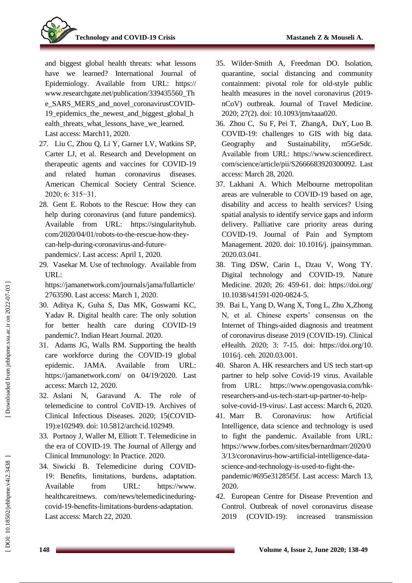

and biggest global health threats: what lessons have we learned? International Journal of Epidemiology. Available from URL: https:// www.researchgate.net/publication/339435560\_Th e\_SARS\_MERS\_and\_novel\_coronavirusCOVID - 19 epidemics the newest and biggest global h ealth\_threats\_what\_lessons\_have\_we\_learned. Last access: March11, 2020.

- 27 . Liu C, Zhou Q, Li Y, Garner LV, Watkins SP, Carter LJ, et al. Research and Development on therapeutic agents and vaccines for COVID -19 and related human coronavirus diseases. American Chemical Society Central Science. 2020; 6: 315−31.
- 28 . [Gent](https://singularityhub.com/author/egent/) E. Robots to the Rescue: How they can help during coronavirus (and future pandemics). Available from URL: https://singularityhub. com/2020/04/01/robots-to-the-rescue-how-theycan -help -during -coronavirus -and -future pandemics/. Last access: April 1, 2020.
- 29 . Vasekar M. Use of technology. Available from URL :

[https://jamanetwork.com/journals/jama/fullarticle/](https://jamanetwork.com/journals/jama/fullarticle/2763590) [2763590.](https://jamanetwork.com/journals/jama/fullarticle/2763590) Last access: March 1, 2020 .

- 30 . Aditya K, Guha S, Das MK, Goswami KC, Yadav R. Digital health care: The only solution for better health care during COVID -19 pandemic?. Indian Heart Journal. 2020.
- 31 . Adams JG, Walls RM. Supporting the health care workforce during the COVID -19 global epidemic. JAMA. Available from URL: https://jamanetwork.com/ on 04/19/2020. Last access: March 12, 2020.
- 32 . Aslani N, Garavand A. The role of telemedicine to control CoVID -19. Archives of Clinical Infectious Diseases. 2020; 15(COVID - 19):e102949. doi: 10.5812/archcid.102949.
- 33 . Portnoy J, Waller M, Elliott T. Telemedicine in the era of COVID -19. The Journal of Allergy and Clinical Immunology: In Practice. 2020.
- 34 . Siwicki B. Telemedicine during COVID 19: Benefits, limitations, burdens, adaptation. Available from URL: https://www. healthcareitnews . com/news/telemedicineduring covid -19 -benefits -limitation s -burdens -adaptation. Last access: March 22, 2020.
- 35 . Wilder -Smith A, Freedman DO. Isolation, quarantine, social distancing and community containment: pivotal role for old -style public health measures in the novel coronavirus (2019 nCoV) outbreak. Journal of Travel Medicine. 2020; 27(2). doi: 10.1093/jtm/taaa020.
- 36 . [Zhou](https://www.sciencedirect.com/science/article/pii/S2666683920300092#!) C, [Su](https://www.sciencedirect.com/science/article/pii/S2666683920300092#!) F, Pei [T, ZhangA, Du](https://www.sciencedirect.com/science/article/pii/S2666683920300092#!) [Y, Luo B.](https://www.sciencedirect.com/science/article/pii/S2666683920300092#!) COVID -19: challenges to GIS with big data. Geography and Sustainability, m5GeSdc. Available from URL: https://www.sciencedirect. com/science/article/pii/S2666683920300092. Last access: March 28, 2020.
- 37 . Lakhani A. Which Melbourne metropolitan areas are vulnerable to COVID -19 based on age, disability and access to health services? Using spatial analysis to identify service gaps and inform delivery. Palliative care priority areas during COVID -19. Journal of Pain and Symptom Management. 2020. doi: 10.1016/j. [jpainsymman.](https://www.researchgate.net/deref/http%3A%2F%2Fdx.doi.org%2F10.1016%2Fj.jpainsymman.2020.03.041?_sg%5B0%5D=il0mvEIIo2KCVEy9HsPEFOrvsHqYsxfdss-xcxOD3j5gMd92Wn11ANnN8BE0K8QheRYaZY0UXTqFLbr-8Z2FG-pE7w.SsSO9aa7wtPw4fibIjS8bw2VslHZ2Rh4ptaL1ILcVHGBSc2Vi63ZNXhC7BfY3ci88wrs92YeFQLJgchOvWz73w) [2020.03.041](https://www.researchgate.net/deref/http%3A%2F%2Fdx.doi.org%2F10.1016%2Fj.jpainsymman.2020.03.041?_sg%5B0%5D=il0mvEIIo2KCVEy9HsPEFOrvsHqYsxfdss-xcxOD3j5gMd92Wn11ANnN8BE0K8QheRYaZY0UXTqFLbr-8Z2FG-pE7w.SsSO9aa7wtPw4fibIjS8bw2VslHZ2Rh4ptaL1ILcVHGBSc2Vi63ZNXhC7BfY3ci88wrs92YeFQLJgchOvWz73w) .
- 38 . Ting DSW, Carin L, Dzau V, Wong TY. Digital technology and COVID-19. Nature [Medicine](https://www.nature.com/nm) . 2020; 26: 459 -61. doi: https://doi.org/ 10.1038/s41591 -020 -0824 - 5 .
- 39 . Bai L, [Yang D, W](https://www.sciencedirect.com/science/article/pii/S2588914120300046#!)ang X, [Tong L, Zhu X,Zhong](https://www.sciencedirect.com/science/article/pii/S2588914120300046#!) N, et al. Chinese experts' consensus on the Internet of Things -aided diagnosis and treatment of coronavirus disease 2019 (COVID -19)[. Clinical](https://www.sciencedirect.com/science/journal/25889141)  [eHealth.](https://www.sciencedirect.com/science/journal/25889141) 2020; 3: 7 -15. doi: https://doi.org/10. 1016/j. ceh. 2020.03.001 .
- 40 . [Sharon](https://www.opengovasia.com/author/alita-sharon/) A. HK researchers and US tech start -up partner to help solve Covid -19 virus. Available from URL: [https://www.opengovasia.com/hk](https://www.opengovasia.com/hk-researchers-and-us-tech-start-up-partner-to-help-solve-covid-19-virus/) [researchers](https://www.opengovasia.com/hk-researchers-and-us-tech-start-up-partner-to-help-solve-covid-19-virus/) -and -us -tech -start -up -partner -to -help - solve-covid-19[-virus/.](https://www.opengovasia.com/hk-researchers-and-us-tech-start-up-partner-to-help-solve-covid-19-virus/) Last access: [March 6, 2020](https://www.opengovasia.com/hk-researchers-and-us-tech-start-up-partner-to-help-solve-covid-19-virus/).
- 41. Marr B. Coronavirus: how Artificial Intelligence, data science and technology is used to fight the pandemic. Available from URL: [https://www.forbes.com/sites/bernardmarr/2020/0](https://www.forbes.com/sites/bernardmarr/2020/03/13/coronavirus-how-artificial-intelligence-data-science-and-technology-is-used-to-fight-the-pandemic/#695e31285f5f) [3/13/coronavirus](https://www.forbes.com/sites/bernardmarr/2020/03/13/coronavirus-how-artificial-intelligence-data-science-and-technology-is-used-to-fight-the-pandemic/#695e31285f5f) -how -artificial -intelligence -data science -and [-technology](https://www.forbes.com/sites/bernardmarr/2020/03/13/coronavirus-how-artificial-intelligence-data-science-and-technology-is-used-to-fight-the-pandemic/#695e31285f5f) -is -used -to -fight -the [pandemic/#695e31285f5f.](https://www.forbes.com/sites/bernardmarr/2020/03/13/coronavirus-how-artificial-intelligence-data-science-and-technology-is-used-to-fight-the-pandemic/#695e31285f5f) Last access: March 13, 2020.
- 42 . European Centre for Disease Prevention and Control. Outbreak of novel coronavirus disease 2019 (COVID-19): increased transmission